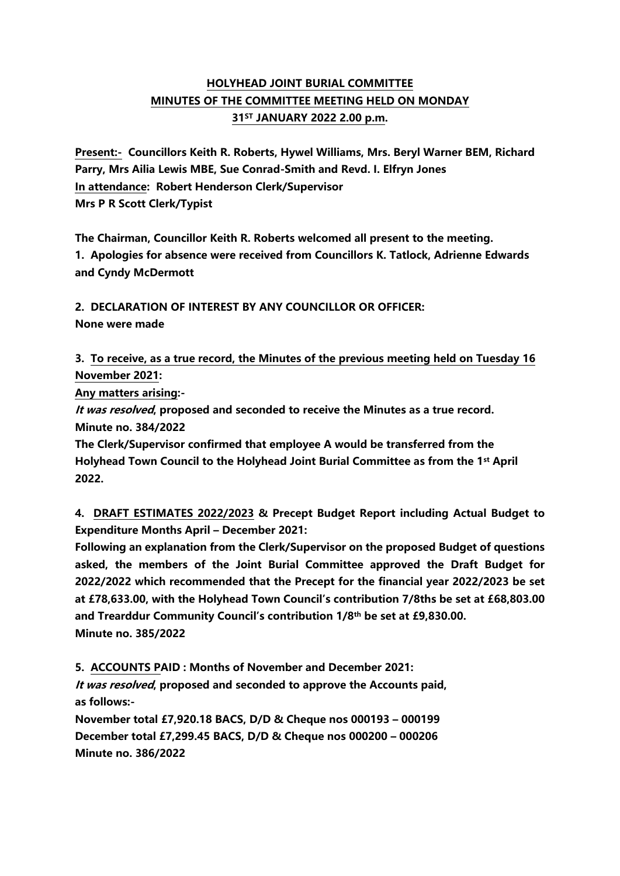## **HOLYHEAD JOINT BURIAL COMMITTEE MINUTES OF THE COMMITTEE MEETING HELD ON MONDAY 31ST JANUARY 2022 2.00 p.m.**

**Present:- Councillors Keith R. Roberts, Hywel Williams, Mrs. Beryl Warner BEM, Richard Parry, Mrs Ailia Lewis MBE, Sue Conrad-Smith and Revd. I. Elfryn Jones In attendance: Robert Henderson Clerk/Supervisor Mrs P R Scott Clerk/Typist**

**The Chairman, Councillor Keith R. Roberts welcomed all present to the meeting. 1. Apologies for absence were received from Councillors K. Tatlock, Adrienne Edwards and Cyndy McDermott**

**2. DECLARATION OF INTEREST BY ANY COUNCILLOR OR OFFICER: None were made**

**3. To receive, as a true record, the Minutes of the previous meeting held on Tuesday 16 November 2021:**

**Any matters arising:-**

**It was resolved, proposed and seconded to receive the Minutes as a true record. Minute no. 384/2022**

**The Clerk/Supervisor confirmed that employee A would be transferred from the Holyhead Town Council to the Holyhead Joint Burial Committee as from the 1st April 2022.**

**4. DRAFT ESTIMATES 2022/2023 & Precept Budget Report including Actual Budget to Expenditure Months April – December 2021:**

**Following an explanation from the Clerk/Supervisor on the proposed Budget of questions asked, the members of the Joint Burial Committee approved the Draft Budget for 2022/2022 which recommended that the Precept for the financial year 2022/2023 be set at £78,633.00, with the Holyhead Town Council's contribution 7/8ths be set at £68,803.00 and Trearddur Community Council's contribution 1/8th be set at £9,830.00. Minute no. 385/2022**

**5. ACCOUNTS PAID : Months of November and December 2021: It was resolved, proposed and seconded to approve the Accounts paid, as follows:-**

**November total £7,920.18 BACS, D/D & Cheque nos 000193 – 000199 December total £7,299.45 BACS, D/D & Cheque nos 000200 – 000206 Minute no. 386/2022**